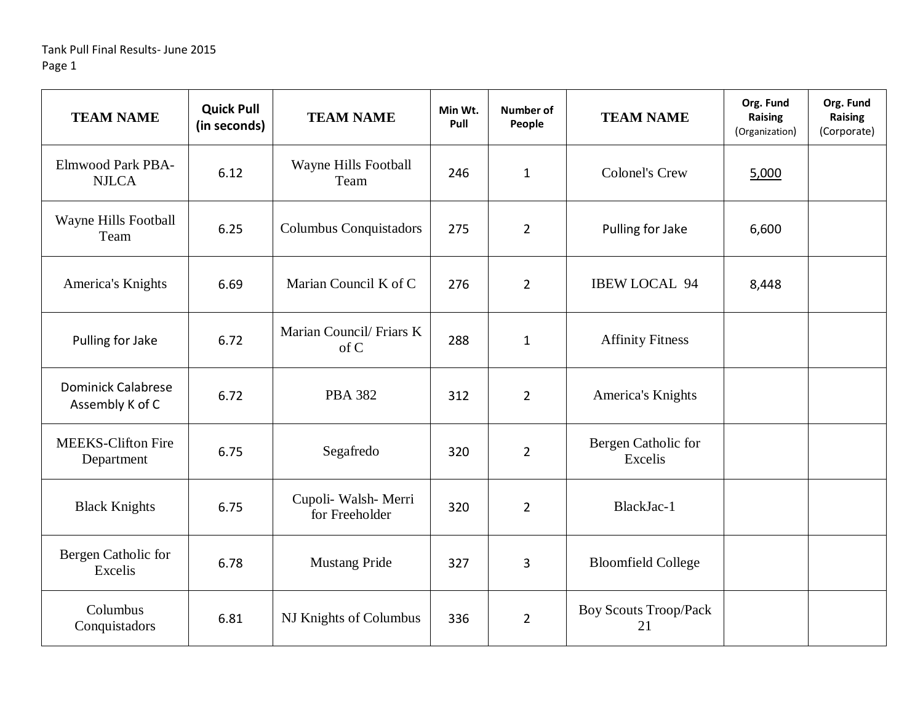| <b>TEAM NAME</b>                             | <b>Quick Pull</b><br>(in seconds) | <b>TEAM NAME</b>                       | Min Wt.<br>Pull | Number of<br>People | <b>TEAM NAME</b>                   | Org. Fund<br>Raising<br>(Organization) | Org. Fund<br><b>Raising</b><br>(Corporate) |
|----------------------------------------------|-----------------------------------|----------------------------------------|-----------------|---------------------|------------------------------------|----------------------------------------|--------------------------------------------|
| <b>Elmwood Park PBA-</b><br><b>NJLCA</b>     | 6.12                              | Wayne Hills Football<br>Team           | 246             | $\mathbf{1}$        | <b>Colonel's Crew</b>              | 5,000                                  |                                            |
| Wayne Hills Football<br>Team                 | 6.25                              | Columbus Conquistadors                 | 275             | $\overline{2}$      | Pulling for Jake                   | 6,600                                  |                                            |
| America's Knights                            | 6.69                              | Marian Council K of C                  | 276             | $\overline{2}$      | <b>IBEW LOCAL 94</b>               | 8,448                                  |                                            |
| Pulling for Jake                             | 6.72                              | Marian Council/ Friars K<br>of C       | 288             | $\mathbf{1}$        | <b>Affinity Fitness</b>            |                                        |                                            |
| <b>Dominick Calabrese</b><br>Assembly K of C | 6.72                              | <b>PBA 382</b>                         | 312             | $\overline{2}$      | America's Knights                  |                                        |                                            |
| <b>MEEKS-Clifton Fire</b><br>Department      | 6.75                              | Segafredo                              | 320             | $\overline{2}$      | Bergen Catholic for<br>Excelis     |                                        |                                            |
| <b>Black Knights</b>                         | 6.75                              | Cupoli- Walsh- Merri<br>for Freeholder | 320             | $\overline{2}$      | BlackJac-1                         |                                        |                                            |
| Bergen Catholic for<br>Excelis               | 6.78                              | <b>Mustang Pride</b>                   | 327             | 3                   | <b>Bloomfield College</b>          |                                        |                                            |
| Columbus<br>Conquistadors                    | 6.81                              | NJ Knights of Columbus                 | 336             | $\overline{2}$      | <b>Boy Scouts Troop/Pack</b><br>21 |                                        |                                            |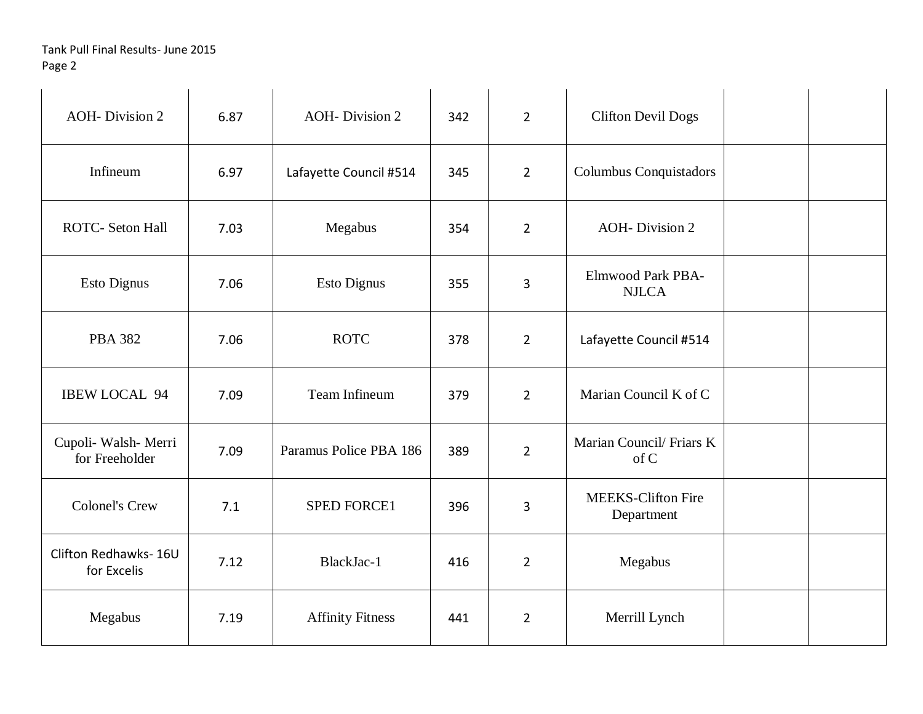| <b>AOH-Division 2</b>                  | 6.87 | <b>AOH-Division 2</b>   | 342 | $\overline{2}$ | <b>Clifton Devil Dogs</b>                |  |
|----------------------------------------|------|-------------------------|-----|----------------|------------------------------------------|--|
| Infineum                               | 6.97 | Lafayette Council #514  | 345 | $\overline{2}$ | Columbus Conquistadors                   |  |
| <b>ROTC- Seton Hall</b>                | 7.03 | Megabus                 | 354 | $\overline{2}$ | <b>AOH-Division 2</b>                    |  |
| <b>Esto Dignus</b>                     | 7.06 | <b>Esto Dignus</b>      | 355 | 3              | <b>Elmwood Park PBA-</b><br><b>NJLCA</b> |  |
| <b>PBA 382</b>                         | 7.06 | <b>ROTC</b>             | 378 | $\overline{2}$ | Lafayette Council #514                   |  |
| <b>IBEW LOCAL 94</b>                   | 7.09 | Team Infineum           | 379 | $\overline{2}$ | Marian Council K of C                    |  |
| Cupoli- Walsh- Merri<br>for Freeholder | 7.09 | Paramus Police PBA 186  | 389 | $\overline{2}$ | Marian Council/ Friars K<br>of C         |  |
| <b>Colonel's Crew</b>                  | 7.1  | <b>SPED FORCE1</b>      | 396 | 3              | <b>MEEKS-Clifton Fire</b><br>Department  |  |
| Clifton Redhawks-16U<br>for Excelis    | 7.12 | BlackJac-1              | 416 | $\overline{2}$ | Megabus                                  |  |
| Megabus                                | 7.19 | <b>Affinity Fitness</b> | 441 | $\overline{2}$ | Merrill Lynch                            |  |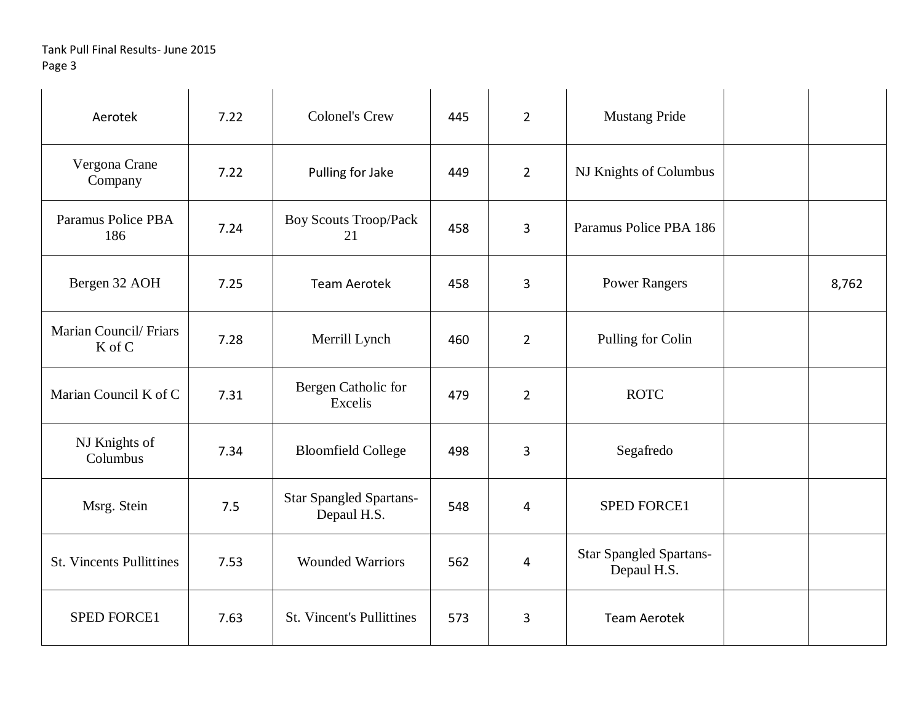| Aerotek                         | 7.22 | <b>Colonel's Crew</b>                  | 445 | $2^{\circ}$    | <b>Mustang Pride</b>                          |       |
|---------------------------------|------|----------------------------------------|-----|----------------|-----------------------------------------------|-------|
| Vergona Crane<br>Company        | 7.22 | Pulling for Jake                       | 449 | $\overline{2}$ | NJ Knights of Columbus                        |       |
| Paramus Police PBA<br>186       | 7.24 | <b>Boy Scouts Troop/Pack</b><br>21     | 458 | $\overline{3}$ | Paramus Police PBA 186                        |       |
| Bergen 32 AOH                   | 7.25 | <b>Team Aerotek</b>                    | 458 | 3              | <b>Power Rangers</b>                          | 8,762 |
| Marian Council/Friars<br>K of C | 7.28 | Merrill Lynch                          | 460 | $\overline{2}$ | Pulling for Colin                             |       |
| Marian Council K of C           | 7.31 | Bergen Catholic for<br>Excelis         | 479 | $\overline{2}$ | <b>ROTC</b>                                   |       |
| NJ Knights of<br>Columbus       | 7.34 | <b>Bloomfield College</b>              | 498 | 3              | Segafredo                                     |       |
| Msrg. Stein                     | 7.5  | Star Spangled Spartans-<br>Depaul H.S. | 548 | 4              | SPED FORCE1                                   |       |
| <b>St. Vincents Pullittines</b> | 7.53 | <b>Wounded Warriors</b>                | 562 | 4              | <b>Star Spangled Spartans-</b><br>Depaul H.S. |       |
| <b>SPED FORCE1</b>              | 7.63 | <b>St. Vincent's Pullittines</b>       | 573 | $\overline{3}$ | <b>Team Aerotek</b>                           |       |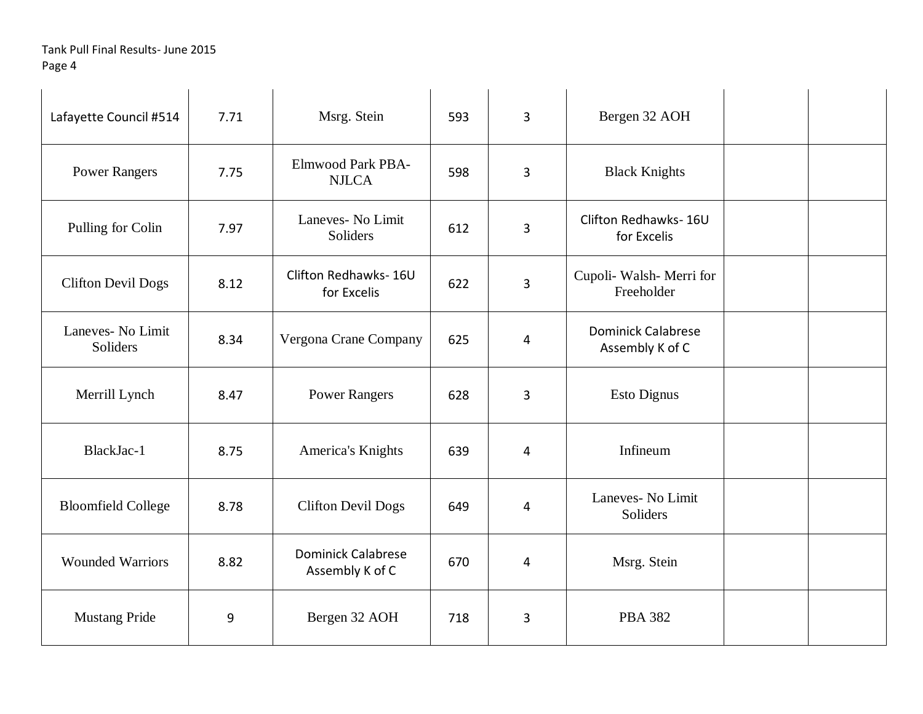| Lafayette Council #514        | 7.71 | Msrg. Stein                                  | 593 | $\overline{3}$ | Bergen 32 AOH                                |  |
|-------------------------------|------|----------------------------------------------|-----|----------------|----------------------------------------------|--|
| <b>Power Rangers</b>          | 7.75 | <b>Elmwood Park PBA-</b><br><b>NJLCA</b>     | 598 | 3              | <b>Black Knights</b>                         |  |
| Pulling for Colin             | 7.97 | Laneves- No Limit<br>Soliders                | 612 | $\overline{3}$ | Clifton Redhawks-16U<br>for Excelis          |  |
| <b>Clifton Devil Dogs</b>     | 8.12 | Clifton Redhawks-16U<br>for Excelis          | 622 | 3              | Cupoli- Walsh- Merri for<br>Freeholder       |  |
| Laneves- No Limit<br>Soliders | 8.34 | Vergona Crane Company                        | 625 | 4              | <b>Dominick Calabrese</b><br>Assembly K of C |  |
| Merrill Lynch                 | 8.47 | <b>Power Rangers</b>                         | 628 | 3              | <b>Esto Dignus</b>                           |  |
| BlackJac-1                    | 8.75 | America's Knights                            | 639 | 4              | Infineum                                     |  |
| <b>Bloomfield College</b>     | 8.78 | <b>Clifton Devil Dogs</b>                    | 649 | 4              | Laneves- No Limit<br>Soliders                |  |
| <b>Wounded Warriors</b>       | 8.82 | <b>Dominick Calabrese</b><br>Assembly K of C | 670 | 4              | Msrg. Stein                                  |  |
| <b>Mustang Pride</b>          | 9    | Bergen 32 AOH                                | 718 | 3              | <b>PBA 382</b>                               |  |